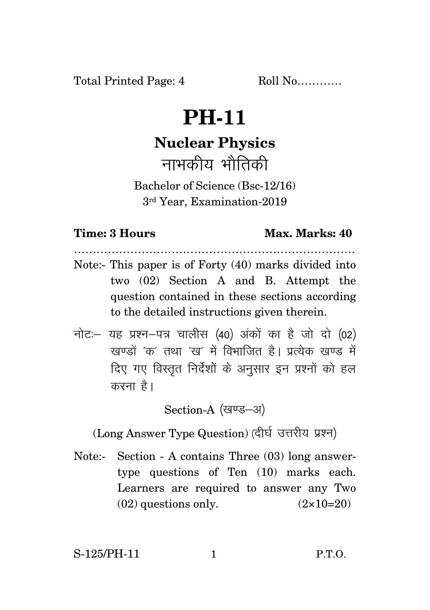## **PH-11**

## **Nuclear Physics** नाभकीय भौतिकी

Bachelor of Science (Bsc-12/16) 3rd Year, Examination-2019

## **Time: 3 Hours Max. Marks: 40**

Note:- This paper is of Forty (40) marks divided into two (02) Section A and B. Attempt the question contained in these sections according to the detailed instructions given therein.

…………………………………………………………………

 $\vec{\eta}$ नोटः– यह प्रश्न–पत्र चालीस (40) अंकों का है जो दो (02) खण्डों 'क' तथा 'ख' में विभाजित है। प्रत्येक खण्ड में दिए गए विस्तृत निर्देशों के अनुसार इन प्रश्नों को हल करना $\hat{g}$ ।

Section-A (खण्ड-अ)

(Long Answer Type Question) (दीर्घ उत्तरीय प्रश्न)

Note:- Section - A contains Three (03) long answertype questions of Ten (10) marks each. Learners are required to answer any Two  $(02)$  questions only.  $(2 \times 10=20)$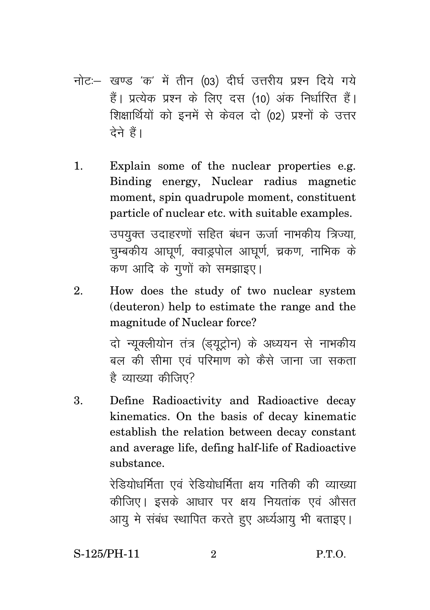- नोट:- खण्ड 'क' में तीन (03) दीर्घ उत्तरीय प्रश्न दिये गये हैं। प्रत्येक प्रश्न के लिए दस (10) अंक निर्धारित हैं। शिक्षार्थियों को इनमें से केवल दो (02) प्रश्नों के उत्तर टेने हैं।
- Explain some of the nuclear properties e.g.  $\mathbf{1}$ . Binding energy, Nuclear radius magnetic moment, spin quadrupole moment, constituent particle of nuclear etc. with suitable examples. उपयुक्त उदाहरणों सहित बंधन ऊर्जा नाभकीय त्रिज्या, चम्बकीय आघर्ण, क्वाडुपोल आघर्ण, च्रकण, नाभिक के कण आदि के गणों को समझाइए।
- 2. How does the study of two nuclear system (deuteron) help to estimate the range and the magnitude of Nuclear force?

दो न्यक्लीयोन तंत्र (ड़यूट्रोन) के अध्ययन से नाभकीय बल की सीमा एवं परिमाण को कैसे जाना जा सकता है व्याख्या कीजिए?

Define Radioactivity and Radioactive decay 3. kinematics. On the basis of decay kinematic establish the relation between decay constant and average life, defing half-life of Radioactive substance.

> रेडियोधर्मिता एवं रेडियोधर्मिता क्षय गतिकी की व्याख्या कीजिए। इसके आधार पर क्षय नियतांक एवं औसत आय मे संबंध स्थापित करते हुए अर्ध्यआय भी बताइए।

S-125/PH-11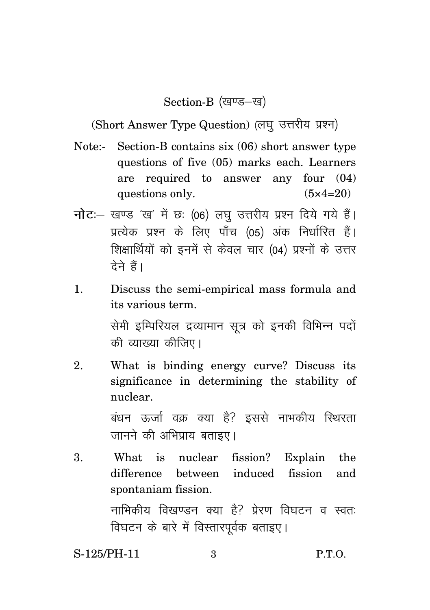Section-B (खण्ड-ख)

(Short Answer Type Question) (लघु उत्तरीय प्रश्न)

- Note:- Section-B contains six (06) short answer type questions of five (05) marks each. Learners are required to answer any four (04) questions only.  $(5 \times 4=20)$
- **नोट**: खण्ड 'ख' में छः (06) लघु उत्तरीय प्रश्न दिये गये हैं। प्रत्येक प्रश्न के लिए पाँच (05) अंक निर्धारित हैं। शिक्षार्थियों को इनमें से केवल चार (04) प्रश्नों के उत्तर <u>देने हैं।</u>
- 1. Discuss the semi-empirical mass formula and its various term.

सेमी इम्पिरियल द्रव्यामान सूत्र को इनकी विभिन्न पदों की व्याख्या कीजिए।

2. What is binding energy curve? Discuss its significance in determining the stability of nuclear.

> बंधन ऊर्जा वक्र क्या है? इससे नाभकीय स्थिरता जानने की अभिप्राय बताइए।

3. What is nuclear fission? Explain the difference between induced fission and spontaniam fission. नाभिकीय विखण्डन क्या है? प्रेरण विघटन व स्वतः विघटन के बारे में विस्तारपूर्वक बताइए।

S-125/PH-11 3 P.T.O.